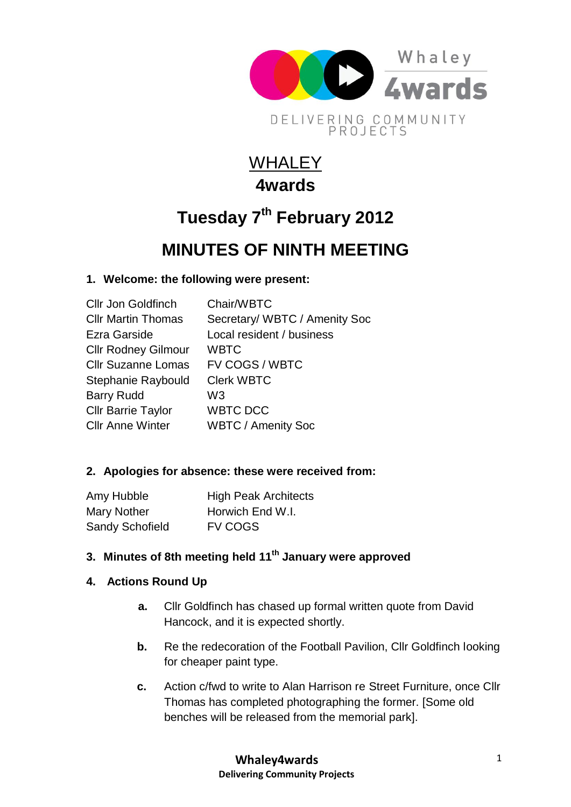

## **WHALEY 4wards**

# **Tuesday 7th February 2012**

### **MINUTES OF NINTH MEETING**

#### **1. Welcome: the following were present:**

| <b>Cllr Jon Goldfinch</b>  | Chair/WBTC                    |
|----------------------------|-------------------------------|
| <b>CIIr Martin Thomas</b>  | Secretary/ WBTC / Amenity Soc |
| Ezra Garside               | Local resident / business     |
| <b>Cllr Rodney Gilmour</b> | <b>WBTC</b>                   |
| <b>Cllr Suzanne Lomas</b>  | FV COGS / WBTC                |
| Stephanie Raybould         | <b>Clerk WBTC</b>             |
| <b>Barry Rudd</b>          | W3                            |
| <b>Cllr Barrie Taylor</b>  | <b>WBTC DCC</b>               |
| <b>CIIr Anne Winter</b>    | <b>WBTC / Amenity Soc</b>     |

#### **2. Apologies for absence: these were received from:**

| Amy Hubble             | <b>High Peak Architects</b> |
|------------------------|-----------------------------|
| Mary Nother            | Horwich End W.I.            |
| <b>Sandy Schofield</b> | <b>FV COGS</b>              |

#### **3. Minutes of 8th meeting held 11th January were approved**

#### **4. Actions Round Up**

- **a.** Cllr Goldfinch has chased up formal written quote from David Hancock, and it is expected shortly.
- **b.** Re the redecoration of the Football Pavilion, Cllr Goldfinch looking for cheaper paint type.
- **c.** Action c/fwd to write to Alan Harrison re Street Furniture, once Cllr Thomas has completed photographing the former. [Some old benches will be released from the memorial park].

**Whaley4wards Delivering Community Projects**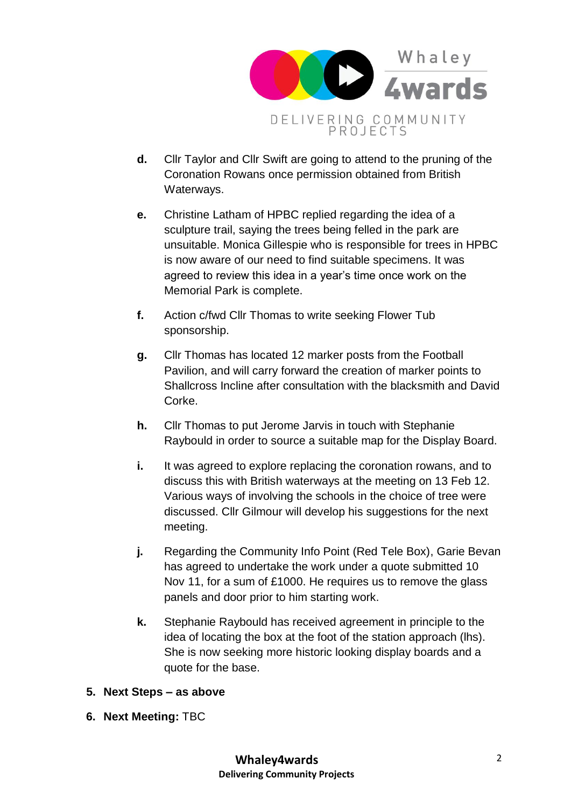

- **d.** Cllr Taylor and Cllr Swift are going to attend to the pruning of the Coronation Rowans once permission obtained from British Waterways.
- **e.** Christine Latham of HPBC replied regarding the idea of a sculpture trail, saying the trees being felled in the park are unsuitable. Monica Gillespie who is responsible for trees in HPBC is now aware of our need to find suitable specimens. It was agreed to review this idea in a year's time once work on the Memorial Park is complete.
- **f.** Action c/fwd Cllr Thomas to write seeking Flower Tub sponsorship.
- **g.** Cllr Thomas has located 12 marker posts from the Football Pavilion, and will carry forward the creation of marker points to Shallcross Incline after consultation with the blacksmith and David Corke.
- **h.** Cllr Thomas to put Jerome Jarvis in touch with Stephanie Raybould in order to source a suitable map for the Display Board.
- **i.** It was agreed to explore replacing the coronation rowans, and to discuss this with British waterways at the meeting on 13 Feb 12. Various ways of involving the schools in the choice of tree were discussed. Cllr Gilmour will develop his suggestions for the next meeting.
- **j.** Regarding the Community Info Point (Red Tele Box), Garie Bevan has agreed to undertake the work under a quote submitted 10 Nov 11, for a sum of £1000. He requires us to remove the glass panels and door prior to him starting work.
- **k.** Stephanie Raybould has received agreement in principle to the idea of locating the box at the foot of the station approach (lhs). She is now seeking more historic looking display boards and a quote for the base.
- **5. Next Steps – as above**
- **6. Next Meeting:** TBC